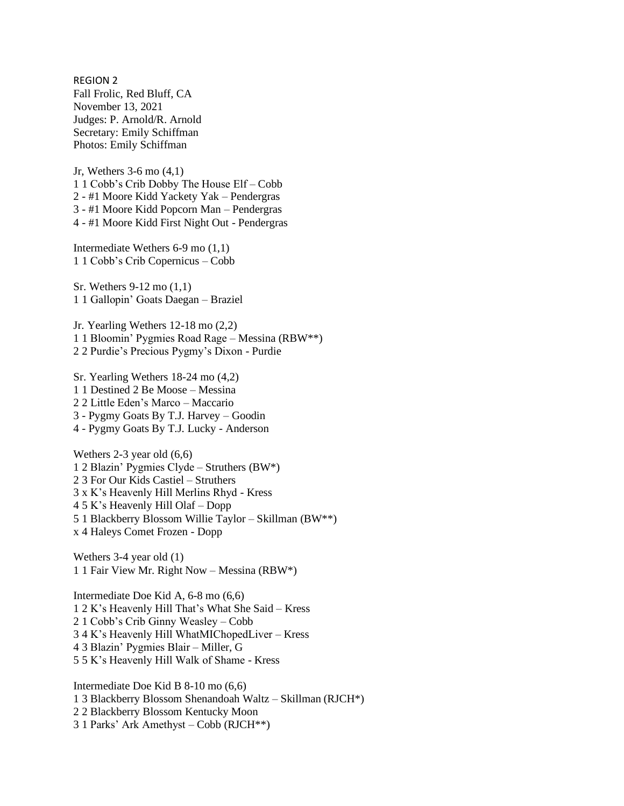REGION 2 Fall Frolic, Red Bluff, CA November 13, 2021 Judges: P. Arnold/R. Arnold Secretary: Emily Schiffman Photos: Emily Schiffman

Jr, Wethers 3-6 mo (4,1) 1 1 Cobb's Crib Dobby The House Elf – Cobb 2 - #1 Moore Kidd Yackety Yak – Pendergras 3 - #1 Moore Kidd Popcorn Man – Pendergras 4 - #1 Moore Kidd First Night Out - Pendergras

Intermediate Wethers 6-9 mo (1,1) 1 1 Cobb's Crib Copernicus – Cobb

Sr. Wethers 9-12 mo (1,1) 1 1 Gallopin' Goats Daegan – Braziel

Jr. Yearling Wethers 12-18 mo (2,2) 1 1 Bloomin' Pygmies Road Rage – Messina (RBW\*\*) 2 2 Purdie's Precious Pygmy's Dixon - Purdie

Sr. Yearling Wethers 18-24 mo (4,2) 1 1 Destined 2 Be Moose – Messina 2 2 Little Eden's Marco – Maccario 3 - Pygmy Goats By T.J. Harvey – Goodin 4 - Pygmy Goats By T.J. Lucky - Anderson

Wethers 2-3 year old (6,6) 1 2 Blazin' Pygmies Clyde – Struthers (BW\*) 2 3 For Our Kids Castiel – Struthers 3 x K's Heavenly Hill Merlins Rhyd - Kress 4 5 K's Heavenly Hill Olaf – Dopp 5 1 Blackberry Blossom Willie Taylor – Skillman (BW\*\*) x 4 Haleys Comet Frozen - Dopp

Wethers 3-4 year old (1) 1 1 Fair View Mr. Right Now – Messina (RBW\*)

Intermediate Doe Kid A, 6-8 mo (6,6) 1 2 K's Heavenly Hill That's What She Said – Kress 2 1 Cobb's Crib Ginny Weasley – Cobb 3 4 K's Heavenly Hill WhatMIChopedLiver – Kress 4 3 Blazin' Pygmies Blair – Miller, G 5 5 K's Heavenly Hill Walk of Shame - Kress

Intermediate Doe Kid B 8-10 mo (6,6) 1 3 Blackberry Blossom Shenandoah Waltz – Skillman (RJCH\*) 2 2 Blackberry Blossom Kentucky Moon 3 1 Parks' Ark Amethyst – Cobb (RJCH\*\*)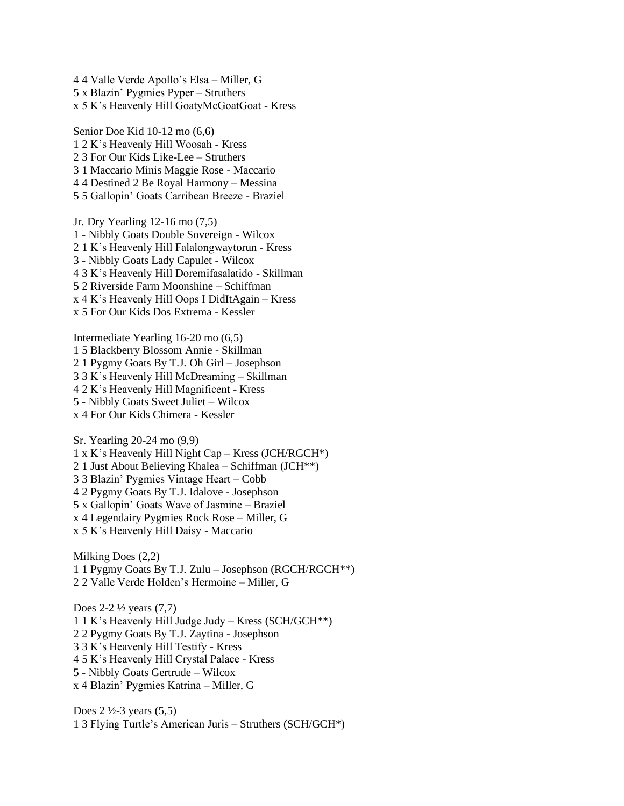4 4 Valle Verde Apollo's Elsa – Miller, G 5 x Blazin' Pygmies Pyper – Struthers x 5 K's Heavenly Hill GoatyMcGoatGoat - Kress

Senior Doe Kid 10-12 mo (6,6) 1 2 K's Heavenly Hill Woosah - Kress 2 3 For Our Kids Like-Lee – Struthers 3 1 Maccario Minis Maggie Rose - Maccario 4 4 Destined 2 Be Royal Harmony – Messina 5 5 Gallopin' Goats Carribean Breeze - Braziel

Jr. Dry Yearling 12-16 mo (7,5) 1 - Nibbly Goats Double Sovereign - Wilcox 2 1 K's Heavenly Hill Falalongwaytorun - Kress 3 - Nibbly Goats Lady Capulet - Wilcox 4 3 K's Heavenly Hill Doremifasalatido - Skillman 5 2 Riverside Farm Moonshine – Schiffman x 4 K's Heavenly Hill Oops I DidItAgain – Kress x 5 For Our Kids Dos Extrema - Kessler

Intermediate Yearling 16-20 mo (6,5) 1 5 Blackberry Blossom Annie - Skillman 2 1 Pygmy Goats By T.J. Oh Girl – Josephson 3 3 K's Heavenly Hill McDreaming – Skillman 4 2 K's Heavenly Hill Magnificent - Kress 5 - Nibbly Goats Sweet Juliet – Wilcox x 4 For Our Kids Chimera - Kessler

Sr. Yearling 20-24 mo (9,9) 1 x K's Heavenly Hill Night Cap – Kress (JCH/RGCH\*) 2 1 Just About Believing Khalea – Schiffman (JCH\*\*) 3 3 Blazin' Pygmies Vintage Heart – Cobb 4 2 Pygmy Goats By T.J. Idalove - Josephson 5 x Gallopin' Goats Wave of Jasmine – Braziel x 4 Legendairy Pygmies Rock Rose – Miller, G x 5 K's Heavenly Hill Daisy - Maccario

Milking Does (2,2) 1 1 Pygmy Goats By T.J. Zulu – Josephson (RGCH/RGCH\*\*) 2 2 Valle Verde Holden's Hermoine – Miller, G

Does 2-2 ½ years (7,7) 1 1 K's Heavenly Hill Judge Judy – Kress (SCH/GCH\*\*) 2 2 Pygmy Goats By T.J. Zaytina - Josephson 3 3 K's Heavenly Hill Testify - Kress 4 5 K's Heavenly Hill Crystal Palace - Kress 5 - Nibbly Goats Gertrude – Wilcox x 4 Blazin' Pygmies Katrina – Miller, G

Does  $2 \frac{1}{2} - 3$  years (5,5) 1 3 Flying Turtle's American Juris – Struthers (SCH/GCH\*)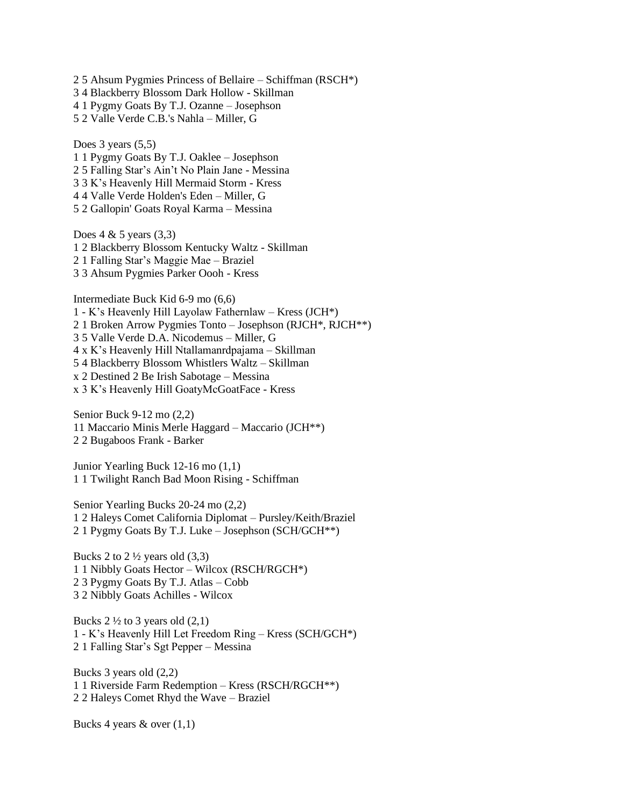5 Ahsum Pygmies Princess of Bellaire – Schiffman (RSCH\*) 4 Blackberry Blossom Dark Hollow - Skillman 1 Pygmy Goats By T.J. Ozanne – Josephson 5 2 Valle Verde C.B.'s Nahla – Miller, G

Does  $3$  years  $(5,5)$ 1 1 Pygmy Goats By T.J. Oaklee – Josephson 2 5 Falling Star's Ain't No Plain Jane - Messina 3 3 K's Heavenly Hill Mermaid Storm - Kress 4 4 Valle Verde Holden's Eden – Miller, G 5 2 Gallopin' Goats Royal Karma – Messina

Does  $4 \& 5 \text{ years } (3,3)$ 1 2 Blackberry Blossom Kentucky Waltz - Skillman 2 1 Falling Star's Maggie Mae – Braziel 3 3 Ahsum Pygmies Parker Oooh - Kress

Intermediate Buck Kid 6-9 mo (6,6) 1 - K's Heavenly Hill Layolaw Fathernlaw – Kress (JCH\*) 2 1 Broken Arrow Pygmies Tonto – Josephson (RJCH\*, RJCH\*\*) 3 5 Valle Verde D.A. Nicodemus – Miller, G 4 x K's Heavenly Hill Ntallamanrdpajama – Skillman 5 4 Blackberry Blossom Whistlers Waltz – Skillman x 2 Destined 2 Be Irish Sabotage – Messina x 3 K's Heavenly Hill GoatyMcGoatFace - Kress

Senior Buck 9-12 mo (2,2) 11 Maccario Minis Merle Haggard – Maccario (JCH\*\*) 2 2 Bugaboos Frank - Barker

Junior Yearling Buck 12-16 mo (1,1) 1 1 Twilight Ranch Bad Moon Rising - Schiffman

Senior Yearling Bucks 20-24 mo (2,2) 1 2 Haleys Comet California Diplomat – Pursley/Keith/Braziel 2 1 Pygmy Goats By T.J. Luke – Josephson (SCH/GCH\*\*)

Bucks 2 to  $2\frac{1}{2}$  years old  $(3,3)$ 1 1 Nibbly Goats Hector – Wilcox (RSCH/RGCH\*) 2 3 Pygmy Goats By T.J. Atlas – Cobb 3 2 Nibbly Goats Achilles - Wilcox

Bucks  $2 \frac{1}{2}$  to 3 years old  $(2,1)$ 1 - K's Heavenly Hill Let Freedom Ring – Kress (SCH/GCH\*) 2 1 Falling Star's Sgt Pepper – Messina

Bucks 3 years old (2,2) 1 1 Riverside Farm Redemption – Kress (RSCH/RGCH\*\*) 2 2 Haleys Comet Rhyd the Wave – Braziel

Bucks 4 years  $\&$  over  $(1,1)$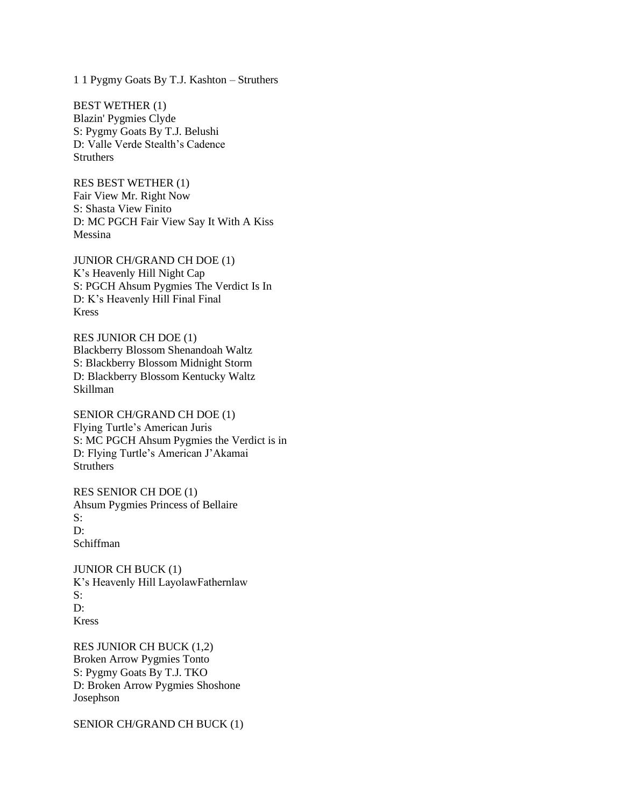1 1 Pygmy Goats By T.J. Kashton – Struthers

BEST WETHER (1) Blazin' Pygmies Clyde S: Pygmy Goats By T.J. Belushi D: Valle Verde Stealth's Cadence **Struthers** 

RES BEST WETHER (1) Fair View Mr. Right Now S: Shasta View Finito D: MC PGCH Fair View Say It With A Kiss Messina

JUNIOR CH/GRAND CH DOE (1) K's Heavenly Hill Night Cap S: PGCH Ahsum Pygmies The Verdict Is In D: K's Heavenly Hill Final Final Kress

RES JUNIOR CH DOE (1) Blackberry Blossom Shenandoah Waltz S: Blackberry Blossom Midnight Storm D: Blackberry Blossom Kentucky Waltz Skillman

SENIOR CH/GRAND CH DOE (1) Flying Turtle's American Juris S: MC PGCH Ahsum Pygmies the Verdict is in D: Flying Turtle's American J'Akamai **Struthers** 

RES SENIOR CH DOE (1) Ahsum Pygmies Princess of Bellaire S:  $\mathbf{D}$ Schiffman

JUNIOR CH BUCK (1) K's Heavenly Hill LayolawFathernlaw S: D: Kress

RES JUNIOR CH BUCK (1,2) Broken Arrow Pygmies Tonto S: Pygmy Goats By T.J. TKO D: Broken Arrow Pygmies Shoshone Josephson

SENIOR CH/GRAND CH BUCK (1)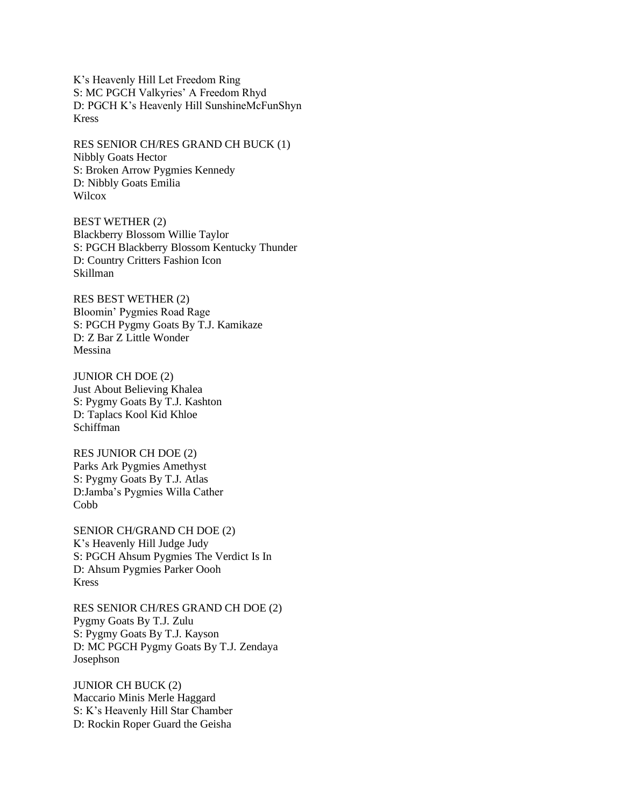K's Heavenly Hill Let Freedom Ring S: MC PGCH Valkyries' A Freedom Rhyd D: PGCH K's Heavenly Hill SunshineMcFunShyn Kress

RES SENIOR CH/RES GRAND CH BUCK (1) Nibbly Goats Hector S: Broken Arrow Pygmies Kennedy D: Nibbly Goats Emilia **Wilcox** 

BEST WETHER (2) Blackberry Blossom Willie Taylor S: PGCH Blackberry Blossom Kentucky Thunder D: Country Critters Fashion Icon Skillman

RES BEST WETHER (2) Bloomin' Pygmies Road Rage S: PGCH Pygmy Goats By T.J. Kamikaze D: Z Bar Z Little Wonder Messina

JUNIOR CH DOE (2) Just About Believing Khalea S: Pygmy Goats By T.J. Kashton D: Taplacs Kool Kid Khloe Schiffman

RES JUNIOR CH DOE (2) Parks Ark Pygmies Amethyst S: Pygmy Goats By T.J. Atlas D:Jamba's Pygmies Willa Cather **Cobb** 

SENIOR CH/GRAND CH DOE (2) K's Heavenly Hill Judge Judy S: PGCH Ahsum Pygmies The Verdict Is In D: Ahsum Pygmies Parker Oooh Kress

RES SENIOR CH/RES GRAND CH DOE (2) Pygmy Goats By T.J. Zulu S: Pygmy Goats By T.J. Kayson D: MC PGCH Pygmy Goats By T.J. Zendaya Josephson

JUNIOR CH BUCK (2) Maccario Minis Merle Haggard S: K's Heavenly Hill Star Chamber D: Rockin Roper Guard the Geisha